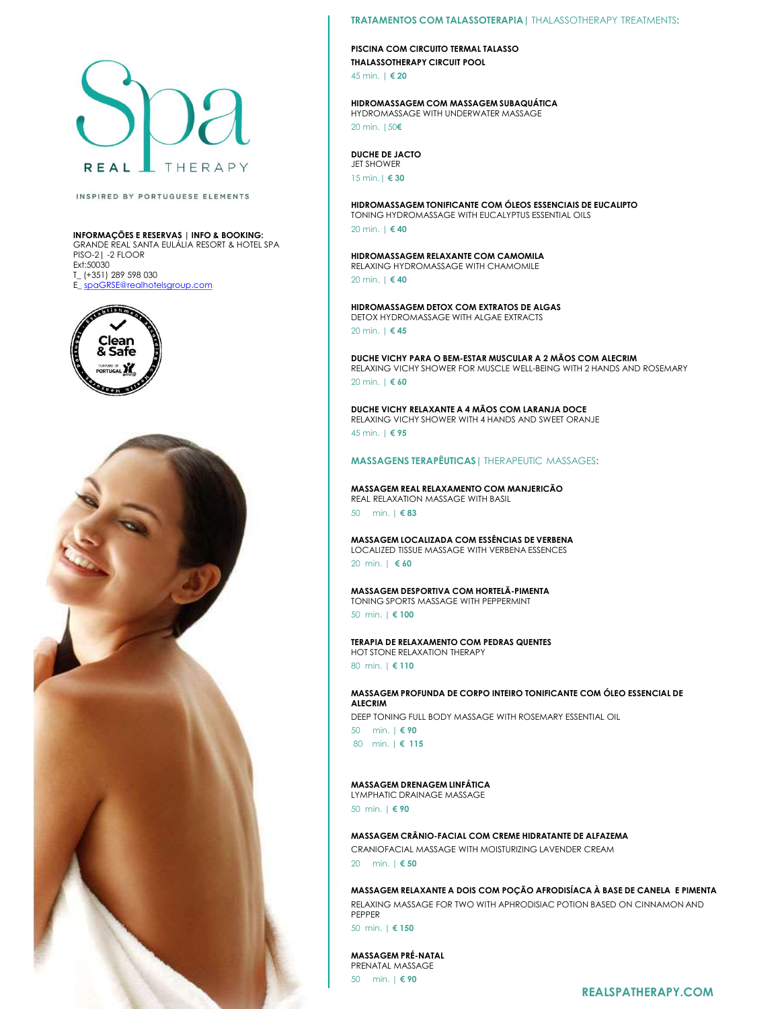

### INSPIRED BY PORTUGUESE ELEMENTS

INFORMAÇÕES E RESERVAS | INFO & BOOKING: GRANDE REAL SANTA EULÁLIA RESORT & HOTEL SPA PISO-2| -2 FLOOR Ext:50030 T\_ (+351) 289 598 030 E\_spaGRSE@realhotelsgroup.com





### TRATAMENTOS COM TALASSOTERAPIA| THALASSOTHERAPY TREATMENTS:

PISCINA COM CIRCUITO TERMAL TALASSO THALASSOTHERAPY CIRCUIT POOL 45 min. | € 20

### HIDROMASSAGEM COM MASSAGEM SUBAQUÁTICA HYDROMASSAGE WITH UNDERWATER MASSAGE 20 min. |50€

### DUCHE DE JACTO JET SHOWER

15 min.| € 30

HIDROMASSAGEM TONIFICANTE COM ÓLEOS ESSENCIAIS DE EUCALIPTO TONING HYDROMASSAGE WITH EUCALYPTUS ESSENTIAL OILS 20 min. | € 40

HIDROMASSAGEM RELAXANTE COM CAMOMILA RELAXING HYDROMASSAGE WITH CHAMOMILE 20 min. | € 40

HIDROMASSAGEM DETOX COM EXTRATOS DE ALGAS DETOX HYDROMASSAGE WITH ALGAE EXTRACTS 20 min. | € 45

DUCHE VICHY PARA O BEM-ESTAR MUSCULAR A 2 MÃOS COM ALECRIM RELAXING VICHY SHOWER FOR MUSCLE WELL-BEING WITH 2 HANDS AND ROSEMARY 20 min. | € 60 15 min. | € 83<br>HIDROMASSAGEM TONIFICANTE COM ÓLEOS ESSENCIAIS DE EUCALIPTO<br>TONING HYDROMASSAGE WITH EUCALYPIUS ESSENCIAIS DILS<br>20 min. | € 40<br>BIDROMASSAGEM RELAXANTE COM CAMOMILA<br>20 min. | € 49<br>20 min. | € 49<br>DEIOX HYDROM HIDROMASSAGEM TOHNIFICOM CIOES ESSENCIAS DE EUCALIPTO<br>IONING HYDROMASSAGE WITH EUCALYPTUS ESSENTIAL OILS<br>20 min. | € 40<br>MIDROMASSAGEM RELAXANTE COM CAMOMILA<br>EELANNG VICHY REACOM-SSAGE WITH CHAMOMILE<br>20 min. | € 40<br>DIDROMAS TONING HYDROMASSAGE WITH EUCALYPIUS ESSENTIAL OILS<br>20 min. | € 40<br>HIDROMASSAGEM RELAXANTE COM CAMOMILA<br>RELAXING HYDROMASSAGE WITH CHAMOMILE<br>20 min. | € 40<br>DETOX HYDROMASSAGE WITH ALGAE EXTRACTS<br>DETOX HYDROMASSAGE WITH ALGA

DUCHE VICHY RELAXANTE A 4 MÃOS COM LARANJA DOCE RELAXING VICHY SHOWER WITH 4 HANDS AND SWEET ORANJE 45 min. | € 95 **BUCHE VICHY RELAXANTE A 4 MÃOS COM LARANJA DOCE**<br>FELAXINO VICHY SHOWER WITH 4 HANDS AND SWEET ORANJE<br>165 min. | € 95<br>MASSAGENS TERAPÊUTICAS | THERAPEUTIC MASSAGES:<br>**FEAL EELAXATION MASSAGE WITH BASIL**<br>50 min. | € 80<br>MASS

## MASSAGENS TERAPÊUTICAS| THERAPEUTIC MASSAGES:

MASSAGEM REAL RELAXAMENTO COM MANJERICÃO REAL RELAXATION MASSAGE WITH BASIL

20 min. | € 60

MASSAGEM DESPORTIVA COM HORTELÃ-PIMENTA TONING SPORTS MASSAGE WITH PEPPERMINT

50 min. | € 100

TERAPIA DE RELAXAMENTO COM PEDRAS QUENTES HOT STONE RELAXATION THERAPY 80 min. | € 110

MASSAGEM PROFUNDA DE CORPO INTEIRO TONIFICANTE COM ÓLEO ESSENCIAL DE ALECRIM

DEEP TONING FULL BODY MASSAGE WITH ROSEMARY ESSENTIAL OIL

80 min. | € 115

# MASSAGEM DRENAGEM LINFÁTICA

LYMPHATIC DRAINAGE MASSAGE 50 min. | € 90

MASSAGEM CRÂNIO-FACIAL COM CREME HIDRATANTE DE ALFAZEMA CRANIOFACIAL MASSAGE WITH MOISTURIZING LAVENDER CREAM

MASSAGEM LOCALIZADA COM ESSÈNCIAS DE VERBENA<br>LOCALIZED INSUE MASSAGE WITH VERBENA ESSENCES<br>20 min. | € 60<br>20 min. | € 60<br>MASSAGEM DESPORTIVA COM MORTELÄ-PIMENTA<br>TERAPIA DE RELAXAMENTO COM PEDRAS QUENTES<br>10 min. | € 10<br>MIST MASSAGEM RELAXANTE A DOIS COM POÇÃO AFRODISÍACA À BASE DE CANELA E PIMENTA RELAXING MASSAGE FOR TWO WITH APHRODISIAC POTION BASED ON CINNAMON AND PEPPER ERATA DE RELAXATION THERAPY<br>
BOTTAIN RELAXATION THERAPY<br>
MASSAGEM PROFUNDA DE CORPO INTEIRO TONIFICANTE COM ÓLEO ESSENCIAL DE<br>
SO min. | € 110<br>
SO min. | € 90<br>
MIN. ELECRIM<br>
SO min. | € 90<br>
MASSAGEM DRENAGEM LINFÁTICA<br>
SO

50 min. | € 150

MASSAGEM PRÉ-NATAL PRENATAL MASSAGE